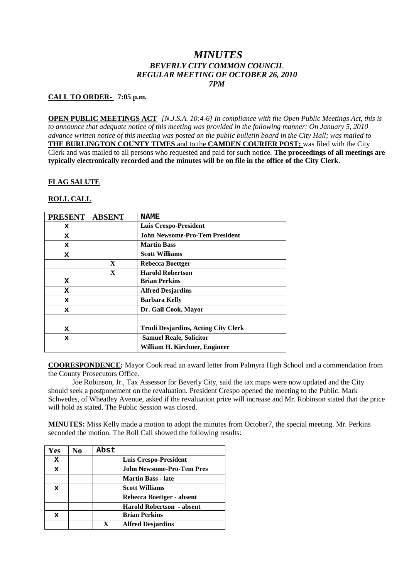## *MINUTES BEVERLY CITY COMMON COUNCIL REGULAR MEETING OF OCTOBER 26, 2010 7PM*

## **CALL TO ORDER- 7:05 p.m.**

**OPEN PUBLIC MEETINGS ACT** *[N.J.S.A. 10:4-6] In compliance with the Open Public Meetings Act, this is to announce that adequate notice of this meeting was provided in the following manner: On January 5, 2010 advance written notice of this meeting was posted on the public bulletin board in the City Hall; was mailed to* **THE BURLINGTON COUNTY TIMES** and to the **CAMDEN COURIER POST;** was filed with the City Clerk and was mailed to all persons who requested and paid for such notice. **The proceedings of all meetings are typically electronically recorded and the minutes will be on file in the office of the City Clerk**.

#### **FLAG SALUTE**

#### **ROLL CALL**

| <b>PRESENT</b> | <b>ABSENT</b> | <b>NAME</b>                                |
|----------------|---------------|--------------------------------------------|
| x              |               | <b>Luis Crespo-President</b>               |
| x              |               | <b>John Newsome-Pro-Tem President</b>      |
| x              |               | <b>Martin Bass</b>                         |
| x              |               | <b>Scott Williams</b>                      |
|                | $\mathbf{X}$  | Rebecca Boettger                           |
|                | X             | <b>Harold Robertson</b>                    |
| X              |               | <b>Brian Perkins</b>                       |
| x              |               | <b>Alfred Desjardins</b>                   |
| x              |               | <b>Barbara Kelly</b>                       |
| x              |               | Dr. Gail Cook, Mayor                       |
|                |               |                                            |
| x              |               | <b>Trudi Desjardins, Acting City Clerk</b> |
| x              |               | <b>Samuel Reale, Solicitor</b>             |
|                |               | William H. Kirchner, Engineer              |

**COORESPONDENCE:** Mayor Cook read an award letter from Palmyra High School and a commendation from the County Prosecutors Office.

Joe Robinson, Jr., Tax Assessor for Beverly City, said the tax maps were now updated and the City should seek a postponement on the revaluation. President Crespo opened the meeting to the Public. Mark Schwedes, of Wheatley Avenue, asked if the revaluation price will increase and Mr. Robinson stated that the price will hold as stated. The Public Session was closed.

**MINUTES:** Miss Kelly made a motion to adopt the minutes from October7, the special meeting. Mr. Perkins seconded the motion. The Roll Call showed the following results:

| Yes         | N0 | Abst |                                  |
|-------------|----|------|----------------------------------|
| x           |    |      | <b>Luis Crespo-President</b>     |
| $\mathbf x$ |    |      | <b>John Newsome-Pro-Tem Pres</b> |
|             |    |      | <b>Martin Bass - late</b>        |
| x           |    |      | <b>Scott Williams</b>            |
|             |    |      | Rebecca Boettger - absent        |
|             |    |      | <b>Harold Robertson - absent</b> |
| x           |    |      | <b>Brian Perkins</b>             |
|             |    | X    | <b>Alfred Desjardins</b>         |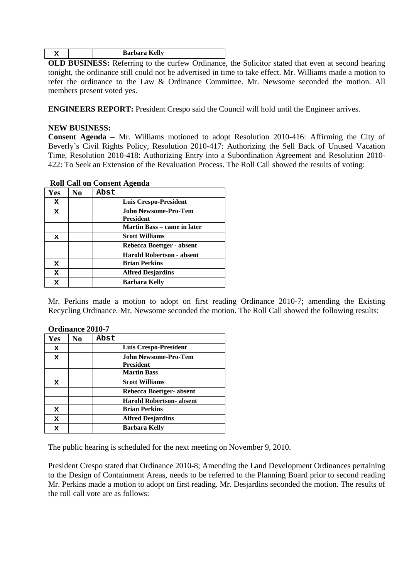| Barbara Kelly |  |
|---------------|--|
|---------------|--|

**OLD BUSINESS:** Referring to the curfew Ordinance, the Solicitor stated that even at second hearing tonight, the ordinance still could not be advertised in time to take effect. Mr. Williams made a motion to refer the ordinance to the Law & Ordinance Committee. Mr. Newsome seconded the motion. All members present voted yes.

**ENGINEERS REPORT:** President Crespo said the Council will hold until the Engineer arrives.

## **NEW BUSINESS:**

**Consent Agenda –** Mr. Williams motioned to adopt Resolution 2010-416: Affirming the City of Beverly's Civil Rights Policy, Resolution 2010-417: Authorizing the Sell Back of Unused Vacation Time, Resolution 2010-418: Authorizing Entry into a Subordination Agreement and Resolution 2010- 422: To Seek an Extension of the Revaluation Process. The Roll Call showed the results of voting:

| <b>Yes</b>  | No | Abst |                                          |
|-------------|----|------|------------------------------------------|
| x           |    |      | <b>Luis Crespo-President</b>             |
| x           |    |      | <b>John Newsome-Pro-Tem</b><br>President |
|             |    |      | <b>Martin Bass – came in later</b>       |
| x           |    |      | <b>Scott Williams</b>                    |
|             |    |      | Rebecca Boettger - absent                |
|             |    |      | <b>Harold Robertson - absent</b>         |
| x           |    |      | <b>Brian Perkins</b>                     |
| $\mathbf x$ |    |      | <b>Alfred Desjardins</b>                 |
| x           |    |      | <b>Barbara Kelly</b>                     |

#### **Roll Call on Consent Agenda**

Mr. Perkins made a motion to adopt on first reading Ordinance 2010-7; amending the Existing Recycling Ordinance. Mr. Newsome seconded the motion. The Roll Call showed the following results:

|     | Ordinance 2010-7 |      |                                                 |  |  |
|-----|------------------|------|-------------------------------------------------|--|--|
| Yes | No.              | Abst |                                                 |  |  |
| x   |                  |      | Luis Crespo-President                           |  |  |
| x   |                  |      | <b>John Newsome-Pro-Tem</b><br><b>President</b> |  |  |
|     |                  |      | <b>Martin Bass</b>                              |  |  |
| x   |                  |      | <b>Scott Williams</b>                           |  |  |
|     |                  |      | Rebecca Boettger-absent                         |  |  |
|     |                  |      | <b>Harold Robertson- absent</b>                 |  |  |
| x   |                  |      | <b>Brian Perkins</b>                            |  |  |
| x   |                  |      | <b>Alfred Desjardins</b>                        |  |  |
| x   |                  |      | Barbara Kelly                                   |  |  |

# **Ordinance 2010-7**

The public hearing is scheduled for the next meeting on November 9, 2010.

President Crespo stated that Ordinance 2010-8; Amending the Land Development Ordinances pertaining to the Design of Containment Areas, needs to be referred to the Planning Board prior to second reading Mr. Perkins made a motion to adopt on first reading. Mr. Desjardins seconded the motion. The results of the roll call vote are as follows: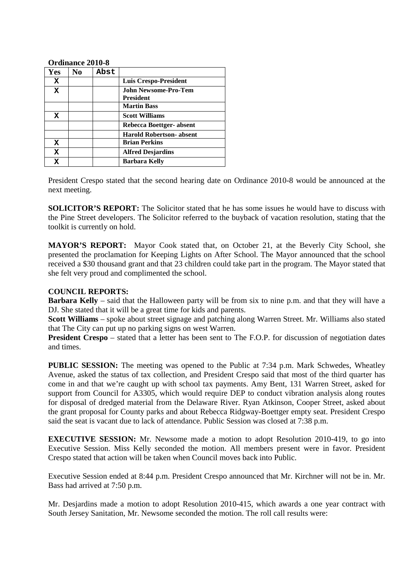#### **Ordinance 2010-8**

| Yes         | N <sub>0</sub> | Abst |                                   |
|-------------|----------------|------|-----------------------------------|
| x           |                |      | <b>Luis Crespo-President</b>      |
| $\mathbf x$ |                |      | John Newsome-Pro-Tem<br>President |
|             |                |      | <b>Martin Bass</b>                |
| X           |                |      | <b>Scott Williams</b>             |
|             |                |      | Rebecca Boettger- absent          |
|             |                |      | <b>Harold Robertson- absent</b>   |
| x           |                |      | <b>Brian Perkins</b>              |
| X           |                |      | <b>Alfred Desjardins</b>          |
| $\mathbf x$ |                |      | Barbara Kelly                     |

President Crespo stated that the second hearing date on Ordinance 2010-8 would be announced at the next meeting.

**SOLICITOR'S REPORT:** The Solicitor stated that he has some issues he would have to discuss with the Pine Street developers. The Solicitor referred to the buyback of vacation resolution, stating that the toolkit is currently on hold.

**MAYOR'S REPORT:** Mayor Cook stated that, on October 21, at the Beverly City School, she presented the proclamation for Keeping Lights on After School. The Mayor announced that the school received a \$30 thousand grant and that 23 children could take part in the program. The Mayor stated that she felt very proud and complimented the school.

## **COUNCIL REPORTS:**

**Barbara Kelly** – said that the Halloween party will be from six to nine p.m. and that they will have a DJ. She stated that it will be a great time for kids and parents.

**Scott Williams** – spoke about street signage and patching along Warren Street. Mr. Williams also stated that The City can put up no parking signs on west Warren.

**President Crespo** – stated that a letter has been sent to The F.O.P. for discussion of negotiation dates and times.

**PUBLIC SESSION:** The meeting was opened to the Public at 7:34 p.m. Mark Schwedes, Wheatley Avenue, asked the status of tax collection, and President Crespo said that most of the third quarter has come in and that we're caught up with school tax payments. Amy Bent, 131 Warren Street, asked for support from Council for A3305, which would require DEP to conduct vibration analysis along routes for disposal of dredged material from the Delaware River. Ryan Atkinson, Cooper Street, asked about the grant proposal for County parks and about Rebecca Ridgway-Boettger empty seat. President Crespo said the seat is vacant due to lack of attendance. Public Session was closed at 7:38 p.m.

**EXECUTIVE SESSION:** Mr. Newsome made a motion to adopt Resolution 2010-419, to go into Executive Session. Miss Kelly seconded the motion. All members present were in favor. President Crespo stated that action will be taken when Council moves back into Public.

Executive Session ended at 8:44 p.m. President Crespo announced that Mr. Kirchner will not be in. Mr. Bass had arrived at 7:50 p.m.

Mr. Desjardins made a motion to adopt Resolution 2010-415, which awards a one year contract with South Jersey Sanitation, Mr. Newsome seconded the motion. The roll call results were: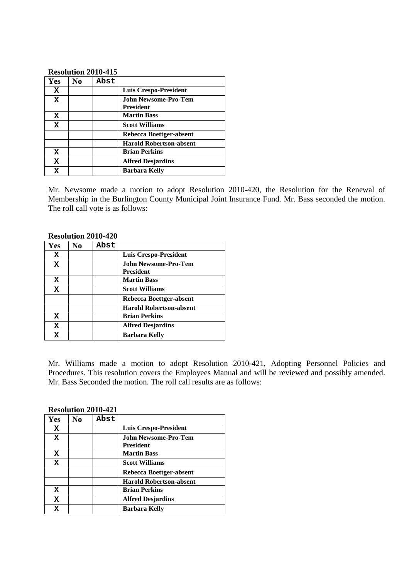#### **Resolution 2010-415**

| Yes         | No | Abst |                                   |
|-------------|----|------|-----------------------------------|
| X           |    |      | Luis Crespo-President             |
| $\mathbf x$ |    |      | John Newsome-Pro-Tem<br>President |
| x           |    |      | <b>Martin Bass</b>                |
| $\mathbf x$ |    |      | <b>Scott Williams</b>             |
|             |    |      | Rebecca Boettger-absent           |
|             |    |      | <b>Harold Robertson-absent</b>    |
| $\mathbf x$ |    |      | <b>Brian Perkins</b>              |
| $\mathbf x$ |    |      | <b>Alfred Desjardins</b>          |
| X           |    |      | <b>Barbara Kelly</b>              |

Mr. Newsome made a motion to adopt Resolution 2010-420, the Resolution for the Renewal of Membership in the Burlington County Municipal Joint Insurance Fund. Mr. Bass seconded the motion. The roll call vote is as follows:

|     |                | <b>Resolution 2010-420</b> |                                                 |  |
|-----|----------------|----------------------------|-------------------------------------------------|--|
| Yes | N <sub>0</sub> | Abst                       |                                                 |  |
| x   |                |                            | <b>Luis Crespo-President</b>                    |  |
| x   |                |                            | <b>John Newsome-Pro-Tem</b><br><b>President</b> |  |
| X   |                |                            | <b>Martin Bass</b>                              |  |
| X   |                |                            | <b>Scott Williams</b>                           |  |
|     |                |                            | Rebecca Boettger-absent                         |  |
|     |                |                            | <b>Harold Robertson-absent</b>                  |  |
| x   |                |                            | <b>Brian Perkins</b>                            |  |
| X   |                |                            | <b>Alfred Desjardins</b>                        |  |
| x   |                |                            | <b>Barbara Kelly</b>                            |  |

# **Resolution 2010-420**

Mr. Williams made a motion to adopt Resolution 2010-421, Adopting Personnel Policies and Procedures. This resolution covers the Employees Manual and will be reviewed and possibly amended. Mr. Bass Seconded the motion. The roll call results are as follows:

## **Resolution 2010-421**

| Yes         | N <sub>0</sub> | Abst |                                   |
|-------------|----------------|------|-----------------------------------|
| x           |                |      | <b>Luis Crespo-President</b>      |
| x           |                |      | John Newsome-Pro-Tem<br>President |
| x           |                |      | <b>Martin Bass</b>                |
| x           |                |      | <b>Scott Williams</b>             |
|             |                |      | Rebecca Boettger-absent           |
|             |                |      | <b>Harold Robertson-absent</b>    |
| X           |                |      | <b>Brian Perkins</b>              |
| $\mathbf x$ |                |      | <b>Alfred Desjardins</b>          |
| X           |                |      | Barbara Kelly                     |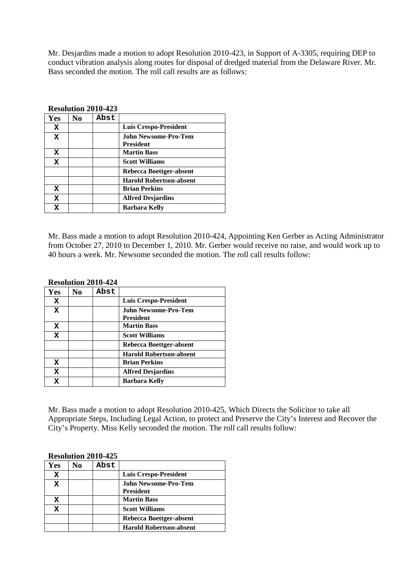Mr. Desjardins made a motion to adopt Resolution 2010-423, in Support of A-3305, requiring DEP to conduct vibration analysis along routes for disposal of dredged material from the Delaware River. Mr. Bass seconded the motion. The roll call results are as follows:

|            |                | $\mathbf{A}$ |                                                 |
|------------|----------------|--------------|-------------------------------------------------|
| <b>Yes</b> | N <sub>0</sub> | Abst         |                                                 |
| x          |                |              | Luis Crespo-President                           |
| x          |                |              | <b>John Newsome-Pro-Tem</b><br><b>President</b> |
|            |                |              |                                                 |
| x          |                |              | <b>Martin Bass</b>                              |
| x          |                |              | <b>Scott Williams</b>                           |
|            |                |              | Rebecca Boettger-absent                         |
|            |                |              | <b>Harold Robertson-absent</b>                  |
| x          |                |              | <b>Brian Perkins</b>                            |
| x          |                |              | <b>Alfred Desjardins</b>                        |
| x          |                |              | <b>Barbara Kelly</b>                            |

#### **Resolution 2010-423**

Mr. Bass made a motion to adopt Resolution 2010-424, Appointing Ken Gerber as Acting Administrator from October 27, 2010 to December 1, 2010. Mr. Gerber would receive no raise, and would work up to 40 hours a week. Mr. Newsome seconded the motion. The roll call results follow:

| Yes         | No | Abst |                                          |
|-------------|----|------|------------------------------------------|
| x           |    |      | <b>Luis Crespo-President</b>             |
| $\mathbf x$ |    |      | John Newsome-Pro-Tem<br><b>President</b> |
| x           |    |      | <b>Martin Bass</b>                       |
| $\mathbf x$ |    |      | <b>Scott Williams</b>                    |
|             |    |      | Rebecca Boettger-absent                  |
|             |    |      | <b>Harold Robertson-absent</b>           |
| x           |    |      | <b>Brian Perkins</b>                     |
| $\mathbf x$ |    |      | <b>Alfred Desjardins</b>                 |
| $\mathbf x$ |    |      | <b>Barbara Kelly</b>                     |

## **Resolution 2010-424**

Mr. Bass made a motion to adopt Resolution 2010-425, Which Directs the Solicitor to take all Appropriate Steps, Including Legal Action, to protect and Preserve the City's Interest and Recover the City's Property. Miss Kelly seconded the motion. The roll call results follow:

#### **Resolution 2010-425**

| Yes | No | Abst |                                |
|-----|----|------|--------------------------------|
| x   |    |      | <b>Luis Crespo-President</b>   |
| X   |    |      | John Newsome-Pro-Tem           |
|     |    |      | <b>President</b>               |
| x   |    |      | <b>Martin Bass</b>             |
| x   |    |      | <b>Scott Williams</b>          |
|     |    |      | Rebecca Boettger-absent        |
|     |    |      | <b>Harold Robertson-absent</b> |